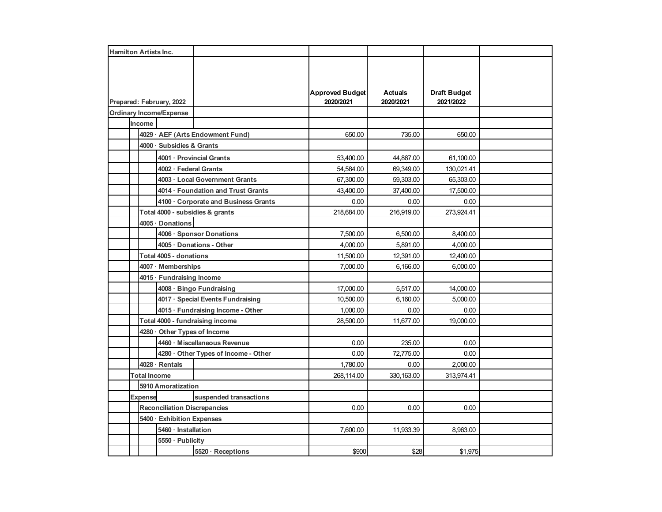| <b>Hamilton Artists Inc.</b> |                                |                                     |                                      |                        |                |                     |  |
|------------------------------|--------------------------------|-------------------------------------|--------------------------------------|------------------------|----------------|---------------------|--|
|                              |                                |                                     |                                      |                        |                |                     |  |
|                              |                                |                                     |                                      |                        |                |                     |  |
|                              |                                |                                     |                                      |                        |                |                     |  |
|                              |                                |                                     |                                      | <b>Approved Budget</b> | <b>Actuals</b> | <b>Draft Budget</b> |  |
| Prepared: February, 2022     |                                |                                     |                                      | 2020/2021              | 2020/2021      | 2021/2022           |  |
|                              | <b>Ordinary Income/Expense</b> |                                     |                                      |                        |                |                     |  |
|                              | Income                         |                                     |                                      |                        |                |                     |  |
|                              |                                | 4029 · AEF (Arts Endowment Fund)    |                                      | 650.00                 | 735.00         | 650.00              |  |
|                              |                                | 4000 · Subsidies & Grants           |                                      |                        |                |                     |  |
|                              |                                | 4001 · Provincial Grants            |                                      | 53,400.00              | 44,867.00      | 61,100.00           |  |
|                              |                                | 4002 · Federal Grants               |                                      | 54,584.00              | 69,349.00      | 130,021.41          |  |
|                              |                                |                                     | 4003 · Local Government Grants       | 67,300.00              | 59,303.00      | 65,303.00           |  |
|                              |                                |                                     | 4014 · Foundation and Trust Grants   | 43,400.00              | 37,400.00      | 17,500.00           |  |
|                              |                                |                                     | 4100 · Corporate and Business Grants | 0.00                   | 0.00           | 0.00                |  |
|                              |                                |                                     | Total 4000 - subsidies & grants      | 218,684.00             | 216,919.00     | 273,924.41          |  |
|                              |                                | 4005 · Donations                    |                                      |                        |                |                     |  |
|                              |                                |                                     | 4006 · Sponsor Donations             | 7,500.00               | 6,500.00       | 8,400.00            |  |
|                              |                                |                                     | 4005 · Donations - Other             | 4,000.00               | 5,891.00       | 4,000.00            |  |
|                              |                                | Total 4005 - donations              |                                      | 11,500.00              | 12,391.00      | 12,400.00           |  |
|                              |                                |                                     | 4007 · Memberships                   |                        | 6,166.00       | 6,000.00            |  |
|                              |                                | 4015 · Fundraising Income           |                                      |                        |                |                     |  |
|                              |                                | 4008 · Bingo Fundraising            |                                      | 17,000.00              | 5,517.00       | 14,000.00           |  |
|                              |                                |                                     | 4017 · Special Events Fundraising    | 10,500.00              | 6,160.00       | 5,000.00            |  |
|                              |                                | 4015 · Fundraising Income - Other   |                                      | 1,000.00               | 0.00           | 0.00                |  |
|                              |                                | Total 4000 - fundraising income     |                                      | 28,500.00              | 11,677.00      | 19,000.00           |  |
|                              |                                | 4280 · Other Types of Income        |                                      |                        |                |                     |  |
|                              |                                |                                     | 4460 · Miscellaneous Revenue         | 0.00                   | 235.00         | 0.00                |  |
|                              |                                |                                     | 4280 · Other Types of Income - Other | 0.00                   | 72,775.00      | 0.00                |  |
|                              |                                | $4028 \cdot$ Rentals                |                                      | 1,780.00               | 0.00           | 2,000.00            |  |
|                              | <b>Total Income</b>            |                                     |                                      | 268,114.00             | 330, 163.00    | 313,974.41          |  |
|                              |                                | <b>5910 Amoratization</b>           |                                      |                        |                |                     |  |
|                              | <b>Expense</b>                 |                                     | suspended transactions               |                        |                |                     |  |
|                              |                                | <b>Reconciliation Discrepancies</b> |                                      | 0.00                   | 0.00           | 0.00                |  |
|                              |                                | 5400 · Exhibition Expenses          |                                      |                        |                |                     |  |
|                              |                                | 5460 · Installation                 |                                      | 7,600.00               | 11,933.39      | 8,963.00            |  |
|                              |                                | 5550 · Publicity                    |                                      |                        |                |                     |  |
|                              |                                |                                     | 5520 · Receptions                    | \$900                  | \$28           | \$1,975             |  |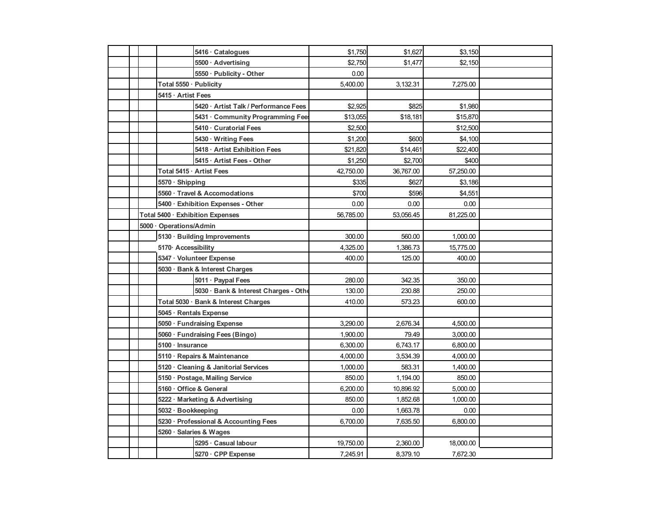|  |                                       | 5416 · Catalogues                     | \$1,750   | \$1,627   | \$3,150   |  |
|--|---------------------------------------|---------------------------------------|-----------|-----------|-----------|--|
|  |                                       | 5500 · Advertising                    | \$2,750   | \$1,477   | \$2,150   |  |
|  |                                       | 5550 · Publicity - Other              | 0.00      |           |           |  |
|  | Total 5550 · Publicity                |                                       | 5,400.00  | 3,132.31  | 7,275.00  |  |
|  | 5415 · Artist Fees                    |                                       |           |           |           |  |
|  |                                       | 5420 · Artist Talk / Performance Fees | \$2,925   | \$825     | \$1,980   |  |
|  |                                       | 5431 Community Programming Fee        | \$13,055  | \$18,181  | \$15,870  |  |
|  |                                       | 5410 · Curatorial Fees                | \$2,500   |           | \$12,500  |  |
|  |                                       | 5430 · Writing Fees                   | \$1,200   | \$600     | \$4,100   |  |
|  |                                       | 5418 · Artist Exhibition Fees         | \$21,820  | \$14,461  | \$22,400  |  |
|  |                                       | 5415 · Artist Fees - Other            | \$1,250   | \$2,700   | \$400     |  |
|  |                                       | Total 5415 · Artist Fees              | 42,750.00 | 36,767.00 | 57,250.00 |  |
|  | $5570 \cdot$ Shipping                 |                                       | \$335     | \$627     | \$3,186   |  |
|  |                                       | 5560 · Travel & Accomodations         | \$700     | \$596     | \$4,551   |  |
|  |                                       | 5400 · Exhibition Expenses - Other    | 0.00      | 0.00      | 0.00      |  |
|  |                                       | Total 5400 · Exhibition Expenses      | 56,785.00 | 53,056.45 | 81,225.00 |  |
|  | 5000 · Operations/Admin               |                                       |           |           |           |  |
|  |                                       | 5130 · Building Improvements          | 300.00    | 560.00    | 1,000.00  |  |
|  | 5170 Accessibility                    |                                       | 4,325.00  | 1.386.73  | 15,775.00 |  |
|  | 5347 · Volunteer Expense              |                                       | 400.00    | 125.00    | 400.00    |  |
|  | 5030 · Bank & Interest Charges        |                                       |           |           |           |  |
|  |                                       | 5011 · Paypal Fees                    | 280.00    | 342.35    | 350.00    |  |
|  |                                       | 5030 · Bank & Interest Charges - Othe | 130.00    | 230.88    | 250.00    |  |
|  |                                       | Total 5030 · Bank & Interest Charges  | 410.00    | 573.23    | 600.00    |  |
|  | 5045 · Rentals Expense                |                                       |           |           |           |  |
|  | 5050 · Fundraising Expense            |                                       | 3,290.00  | 2,676.34  | 4,500.00  |  |
|  |                                       | 5060 · Fundraising Fees (Bingo)       | 1,900.00  | 79.49     | 3,000.00  |  |
|  | 5100 · Insurance                      |                                       | 6,300.00  | 6,743.17  | 6,800.00  |  |
|  | 5110 · Repairs & Maintenance          |                                       | 4,000.00  | 3,534.39  | 4,000.00  |  |
|  | 5120 Cleaning & Janitorial Services   |                                       | 1,000.00  | 583.31    | 1,400.00  |  |
|  | 5150 · Postage, Mailing Service       |                                       | 850.00    | 1,194.00  | 850.00    |  |
|  | 5160 · Office & General               |                                       | 6,200.00  | 10,896.92 | 5,000.00  |  |
|  | 5222 · Marketing & Advertising        |                                       | 850.00    | 1,852.68  | 1,000.00  |  |
|  | 5032 · Bookkeeping                    |                                       | 0.00      | 1,663.78  | 0.00      |  |
|  | 5230 · Professional & Accounting Fees |                                       | 6,700.00  | 7,635.50  | 6,800.00  |  |
|  | 5260 · Salaries & Wages               |                                       |           |           |           |  |
|  |                                       | 5295 · Casual labour                  | 19,750.00 | 2,360.00  | 18,000.00 |  |
|  |                                       | 5270 · CPP Expense                    | 7,245.91  | 8,379.10  | 7,672.30  |  |